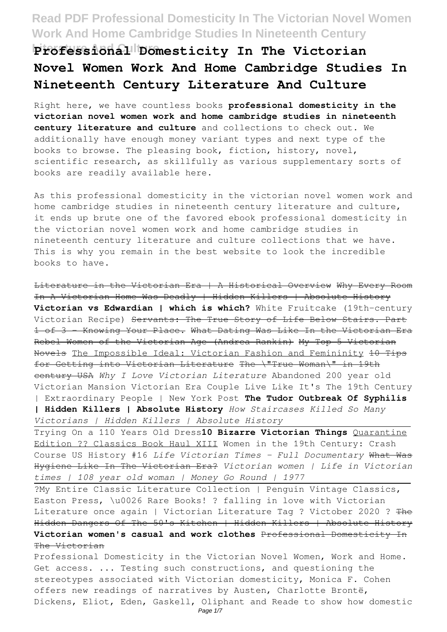Professional Domesticity In The Victorian **Novel Women Work And Home Cambridge Studies In Nineteenth Century Literature And Culture**

Right here, we have countless books **professional domesticity in the victorian novel women work and home cambridge studies in nineteenth century literature and culture** and collections to check out. We additionally have enough money variant types and next type of the books to browse. The pleasing book, fiction, history, novel, scientific research, as skillfully as various supplementary sorts of books are readily available here.

As this professional domesticity in the victorian novel women work and home cambridge studies in nineteenth century literature and culture, it ends up brute one of the favored ebook professional domesticity in the victorian novel women work and home cambridge studies in nineteenth century literature and culture collections that we have. This is why you remain in the best website to look the incredible books to have.

Literature in the Victorian Era | A Historical Overview Why Every Room In A Victorian Home Was Deadly | Hidden Killers | Absolute History **Victorian vs Edwardian | which is which?** White Fruitcake (19th-century Victorian Recipe) Servants: The True Story of Life Below Stairs. Part 1 of 3 - Knowing Your Place. What Dating Was Like In the Victorian Era Rebel Women of the Victorian Age (Andrea Rankin) My Top 5 Victorian Novels The Impossible Ideal: Victorian Fashion and Femininity 10 Tips for Getting into Victorian Literature The \"True Woman\" in 19th century USA *Why I Love Victorian Literature* Abandoned 200 year old Victorian Mansion Victorian Era Couple Live Like It's The 19th Century | Extraordinary People | New York Post **The Tudor Outbreak Of Syphilis | Hidden Killers | Absolute History** *How Staircases Killed So Many Victorians | Hidden Killers | Absolute History*

Trying On a 110 Years Old Dress**10 Bizarre Victorian Things** Quarantine Edition ?? Classics Book Haul XIII Women in the 19th Century: Crash Course US History #16 *Life Victorian Times - Full Documentary* What Was Hygiene Like In The Victorian Era? *Victorian women | Life in Victorian times | 108 year old woman | Money Go Round | 1977*

?My Entire Classic Literature Collection | Penguin Vintage Classics, Easton Press, \u0026 Rare Books! ? falling in love with Victorian Literature once again | Victorian Literature Tag ? Victober 2020 ? The Hidden Dangers Of The 50's Kitchen | Hidden Killers | Absolute History **Victorian women's casual and work clothes** Professional Domesticity In The Victorian

Professional Domesticity in the Victorian Novel Women, Work and Home. Get access. ... Testing such constructions, and questioning the stereotypes associated with Victorian domesticity, Monica F. Cohen offers new readings of narratives by Austen, Charlotte Brontë, Dickens, Eliot, Eden, Gaskell, Oliphant and Reade to show how domestic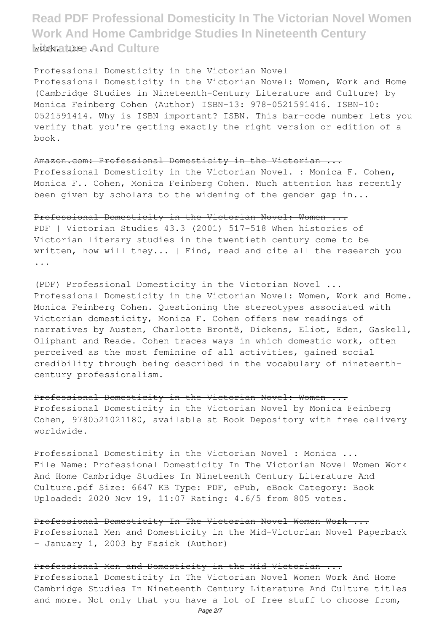# **Read PDF Professional Domesticity In The Victorian Novel Women Work And Home Cambridge Studies In Nineteenth Century** work, at hee . And Culture

## Professional Domesticity in the Victorian Novel

Professional Domesticity in the Victorian Novel: Women, Work and Home (Cambridge Studies in Nineteenth-Century Literature and Culture) by Monica Feinberg Cohen (Author) ISBN-13: 978-0521591416. ISBN-10: 0521591414. Why is ISBN important? ISBN. This bar-code number lets you verify that you're getting exactly the right version or edition of a book.

Amazon.com: Professional Domesticity in the Victorian ... Professional Domesticity in the Victorian Novel. : Monica F. Cohen, Monica F.. Cohen, Monica Feinberg Cohen. Much attention has recently been given by scholars to the widening of the gender gap in...

### Professional Domesticity in the Victorian Novel: Women ...

PDF | Victorian Studies 43.3 (2001) 517-518 When histories of Victorian literary studies in the twentieth century come to be written, how will they... | Find, read and cite all the research you ...

(PDF) Professional Domesticity in the Victorian Novel ... Professional Domesticity in the Victorian Novel: Women, Work and Home. Monica Feinberg Cohen. Questioning the stereotypes associated with Victorian domesticity, Monica F. Cohen offers new readings of narratives by Austen, Charlotte Brontë, Dickens, Eliot, Eden, Gaskell, Oliphant and Reade. Cohen traces ways in which domestic work, often perceived as the most feminine of all activities, gained social credibility through being described in the vocabulary of nineteenthcentury professionalism.

Professional Domesticity in the Victorian Novel: Women ... Professional Domesticity in the Victorian Novel by Monica Feinberg Cohen, 9780521021180, available at Book Depository with free delivery worldwide.

Professional Domesticity in the Victorian Novel : Monica ... File Name: Professional Domesticity In The Victorian Novel Women Work And Home Cambridge Studies In Nineteenth Century Literature And Culture.pdf Size: 6647 KB Type: PDF, ePub, eBook Category: Book Uploaded: 2020 Nov 19, 11:07 Rating: 4.6/5 from 805 votes.

Professional Domesticity In The Victorian Novel Women Work ... Professional Men and Domesticity in the Mid-Victorian Novel Paperback – January 1, 2003 by Fasick (Author)

Professional Men and Domesticity in the Mid-Victorian ... Professional Domesticity In The Victorian Novel Women Work And Home Cambridge Studies In Nineteenth Century Literature And Culture titles and more. Not only that you have a lot of free stuff to choose from,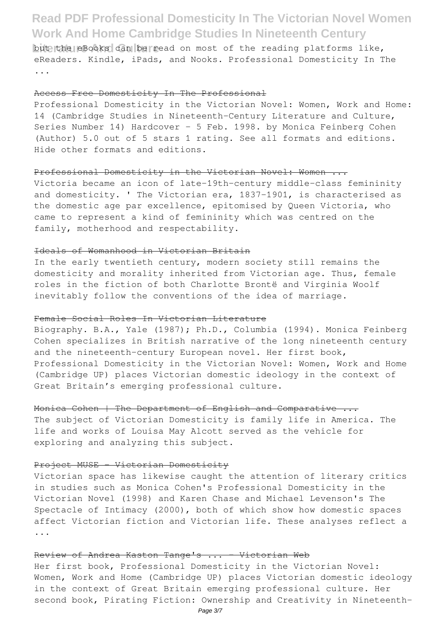but the eBooks can be read on most of the reading platforms like, eReaders. Kindle, iPads, and Nooks. Professional Domesticity In The ...

#### Access Free Domesticity In The Professional

Professional Domesticity in the Victorian Novel: Women, Work and Home: 14 (Cambridge Studies in Nineteenth-Century Literature and Culture, Series Number 14) Hardcover – 5 Feb. 1998. by Monica Feinberg Cohen (Author) 5.0 out of 5 stars 1 rating. See all formats and editions. Hide other formats and editions.

### Professional Domesticity in the Victorian Novel: Women ...

Victoria became an icon of late-19th-century middle-class femininity and domesticity. ' The Victorian era, 1837-1901, is characterised as the domestic age par excellence, epitomised by Queen Victoria, who came to represent a kind of femininity which was centred on the family, motherhood and respectability.

### Ideals of Womanhood in Victorian Britain

In the early twentieth century, modern society still remains the domesticity and morality inherited from Victorian age. Thus, female roles in the fiction of both Charlotte Brontë and Virginia Woolf inevitably follow the conventions of the idea of marriage.

### Female Social Roles In Victorian Literature

Biography. B.A., Yale (1987); Ph.D., Columbia (1994). Monica Feinberg Cohen specializes in British narrative of the long nineteenth century and the nineteenth-century European novel. Her first book, Professional Domesticity in the Victorian Novel: Women, Work and Home (Cambridge UP) places Victorian domestic ideology in the context of Great Britain's emerging professional culture.

## Monica Cohen | The Department of English and Comparative ...

The subject of Victorian Domesticity is family life in America. The life and works of Louisa May Alcott served as the vehicle for exploring and analyzing this subject.

#### Project MUSE - Victorian Domesticity

Victorian space has likewise caught the attention of literary critics in studies such as Monica Cohen's Professional Domesticity in the Victorian Novel (1998) and Karen Chase and Michael Levenson's The Spectacle of Intimacy (2000), both of which show how domestic spaces affect Victorian fiction and Victorian life. These analyses reflect a ...

### Review of Andrea Kaston Tange's ... Victorian Web

Her first book, Professional Domesticity in the Victorian Novel: Women, Work and Home (Cambridge UP) places Victorian domestic ideology in the context of Great Britain emerging professional culture. Her second book, Pirating Fiction: Ownership and Creativity in Nineteenth-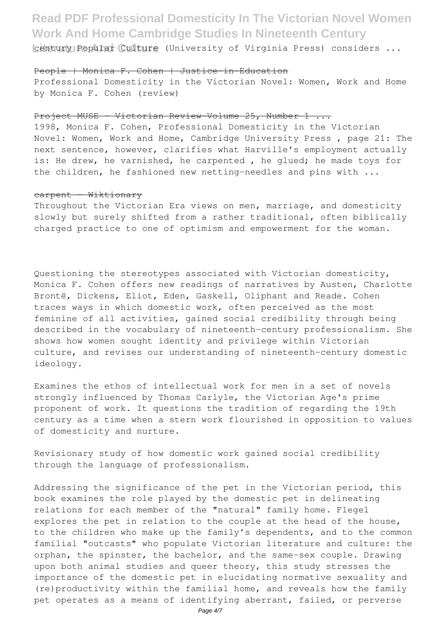**Litury Popular Culture** (University of Virginia Press) considers ...

## People | Monica F. Cohen | Justice-in-Education

Professional Domesticity in the Victorian Novel: Women, Work and Home by Monica F. Cohen (review)

### Project MUSE - Victorian Review-Volume 25, Number 1 ...

1998, Monica F. Cohen, Professional Domesticity in the Victorian Novel: Women, Work and Home, Cambridge University Press , page 21: The next sentence, however, clarifies what Harville's employment actually is: He drew, he varnished, he carpented , he glued; he made toys for the children, he fashioned new netting-needles and pins with ...

### carpent - Wiktionary

Throughout the Victorian Era views on men, marriage, and domesticity slowly but surely shifted from a rather traditional, often biblically charged practice to one of optimism and empowerment for the woman.

Questioning the stereotypes associated with Victorian domesticity, Monica F. Cohen offers new readings of narratives by Austen, Charlotte Brontë, Dickens, Eliot, Eden, Gaskell, Oliphant and Reade. Cohen traces ways in which domestic work, often perceived as the most feminine of all activities, gained social credibility through being described in the vocabulary of nineteenth-century professionalism. She shows how women sought identity and privilege within Victorian culture, and revises our understanding of nineteenth-century domestic ideology.

Examines the ethos of intellectual work for men in a set of novels strongly influenced by Thomas Carlyle, the Victorian Age's prime proponent of work. It questions the tradition of regarding the 19th century as a time when a stern work flourished in opposition to values of domesticity and nurture.

Revisionary study of how domestic work gained social credibility through the language of professionalism.

Addressing the significance of the pet in the Victorian period, this book examines the role played by the domestic pet in delineating relations for each member of the "natural" family home. Flegel explores the pet in relation to the couple at the head of the house, to the children who make up the family's dependents, and to the common familial "outcasts" who populate Victorian literature and culture: the orphan, the spinster, the bachelor, and the same-sex couple. Drawing upon both animal studies and queer theory, this study stresses the importance of the domestic pet in elucidating normative sexuality and (re)productivity within the familial home, and reveals how the family pet operates as a means of identifying aberrant, failed, or perverse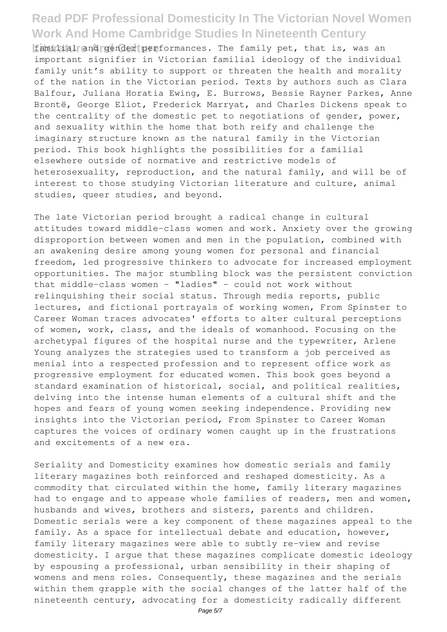**Liamilial and cender performances. The family pet, that is, was an** important signifier in Victorian familial ideology of the individual family unit's ability to support or threaten the health and morality of the nation in the Victorian period. Texts by authors such as Clara Balfour, Juliana Horatia Ewing, E. Burrows, Bessie Rayner Parkes, Anne Brontë, George Eliot, Frederick Marryat, and Charles Dickens speak to the centrality of the domestic pet to negotiations of gender, power, and sexuality within the home that both reify and challenge the imaginary structure known as the natural family in the Victorian period. This book highlights the possibilities for a familial elsewhere outside of normative and restrictive models of heterosexuality, reproduction, and the natural family, and will be of interest to those studying Victorian literature and culture, animal studies, queer studies, and beyond.

The late Victorian period brought a radical change in cultural attitudes toward middle-class women and work. Anxiety over the growing disproportion between women and men in the population, combined with an awakening desire among young women for personal and financial freedom, led progressive thinkers to advocate for increased employment opportunities. The major stumbling block was the persistent conviction that middle-class women - "ladies" - could not work without relinquishing their social status. Through media reports, public lectures, and fictional portrayals of working women, From Spinster to Career Woman traces advocates' efforts to alter cultural perceptions of women, work, class, and the ideals of womanhood. Focusing on the archetypal figures of the hospital nurse and the typewriter, Arlene Young analyzes the strategies used to transform a job perceived as menial into a respected profession and to represent office work as progressive employment for educated women. This book goes beyond a standard examination of historical, social, and political realities, delving into the intense human elements of a cultural shift and the hopes and fears of young women seeking independence. Providing new insights into the Victorian period, From Spinster to Career Woman captures the voices of ordinary women caught up in the frustrations and excitements of a new era.

Seriality and Domesticity examines how domestic serials and family literary magazines both reinforced and reshaped domesticity. As a commodity that circulated within the home, family literary magazines had to engage and to appease whole families of readers, men and women, husbands and wives, brothers and sisters, parents and children. Domestic serials were a key component of these magazines appeal to the family. As a space for intellectual debate and education, however, family literary magazines were able to subtly re-view and revise domesticity. I argue that these magazines complicate domestic ideology by espousing a professional, urban sensibility in their shaping of womens and mens roles. Consequently, these magazines and the serials within them grapple with the social changes of the latter half of the nineteenth century, advocating for a domesticity radically different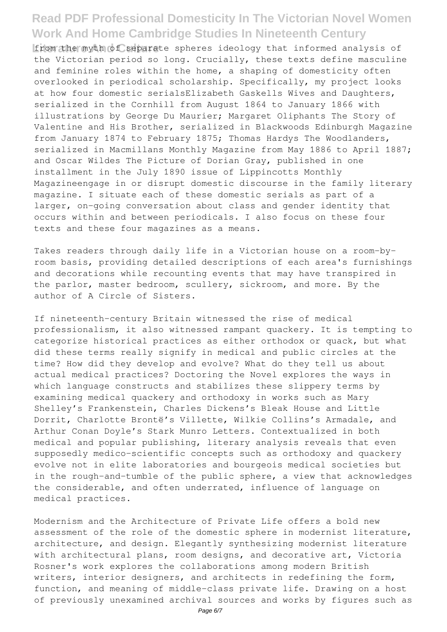**Litem the myth of separate spheres ideology that informed analysis of** the Victorian period so long. Crucially, these texts define masculine and feminine roles within the home, a shaping of domesticity often overlooked in periodical scholarship. Specifically, my project looks at how four domestic serialsElizabeth Gaskells Wives and Daughters, serialized in the Cornhill from August 1864 to January 1866 with illustrations by George Du Maurier; Margaret Oliphants The Story of Valentine and His Brother, serialized in Blackwoods Edinburgh Magazine from January 1874 to February 1875; Thomas Hardys The Woodlanders, serialized in Macmillans Monthly Magazine from May 1886 to April 1887; and Oscar Wildes The Picture of Dorian Gray, published in one installment in the July 1890 issue of Lippincotts Monthly Magazineengage in or disrupt domestic discourse in the family literary magazine. I situate each of these domestic serials as part of a larger, on-going conversation about class and gender identity that occurs within and between periodicals. I also focus on these four texts and these four magazines as a means.

Takes readers through daily life in a Victorian house on a room-byroom basis, providing detailed descriptions of each area's furnishings and decorations while recounting events that may have transpired in the parlor, master bedroom, scullery, sickroom, and more. By the author of A Circle of Sisters.

If nineteenth-century Britain witnessed the rise of medical professionalism, it also witnessed rampant quackery. It is tempting to categorize historical practices as either orthodox or quack, but what did these terms really signify in medical and public circles at the time? How did they develop and evolve? What do they tell us about actual medical practices? Doctoring the Novel explores the ways in which language constructs and stabilizes these slippery terms by examining medical quackery and orthodoxy in works such as Mary Shelley's Frankenstein, Charles Dickens's Bleak House and Little Dorrit, Charlotte Brontë's Villette, Wilkie Collins's Armadale, and Arthur Conan Doyle's Stark Munro Letters. Contextualized in both medical and popular publishing, literary analysis reveals that even supposedly medico-scientific concepts such as orthodoxy and quackery evolve not in elite laboratories and bourgeois medical societies but in the rough-and-tumble of the public sphere, a view that acknowledges the considerable, and often underrated, influence of language on medical practices.

Modernism and the Architecture of Private Life offers a bold new assessment of the role of the domestic sphere in modernist literature, architecture, and design. Elegantly synthesizing modernist literature with architectural plans, room designs, and decorative art, Victoria Rosner's work explores the collaborations among modern British writers, interior designers, and architects in redefining the form, function, and meaning of middle-class private life. Drawing on a host of previously unexamined archival sources and works by figures such as